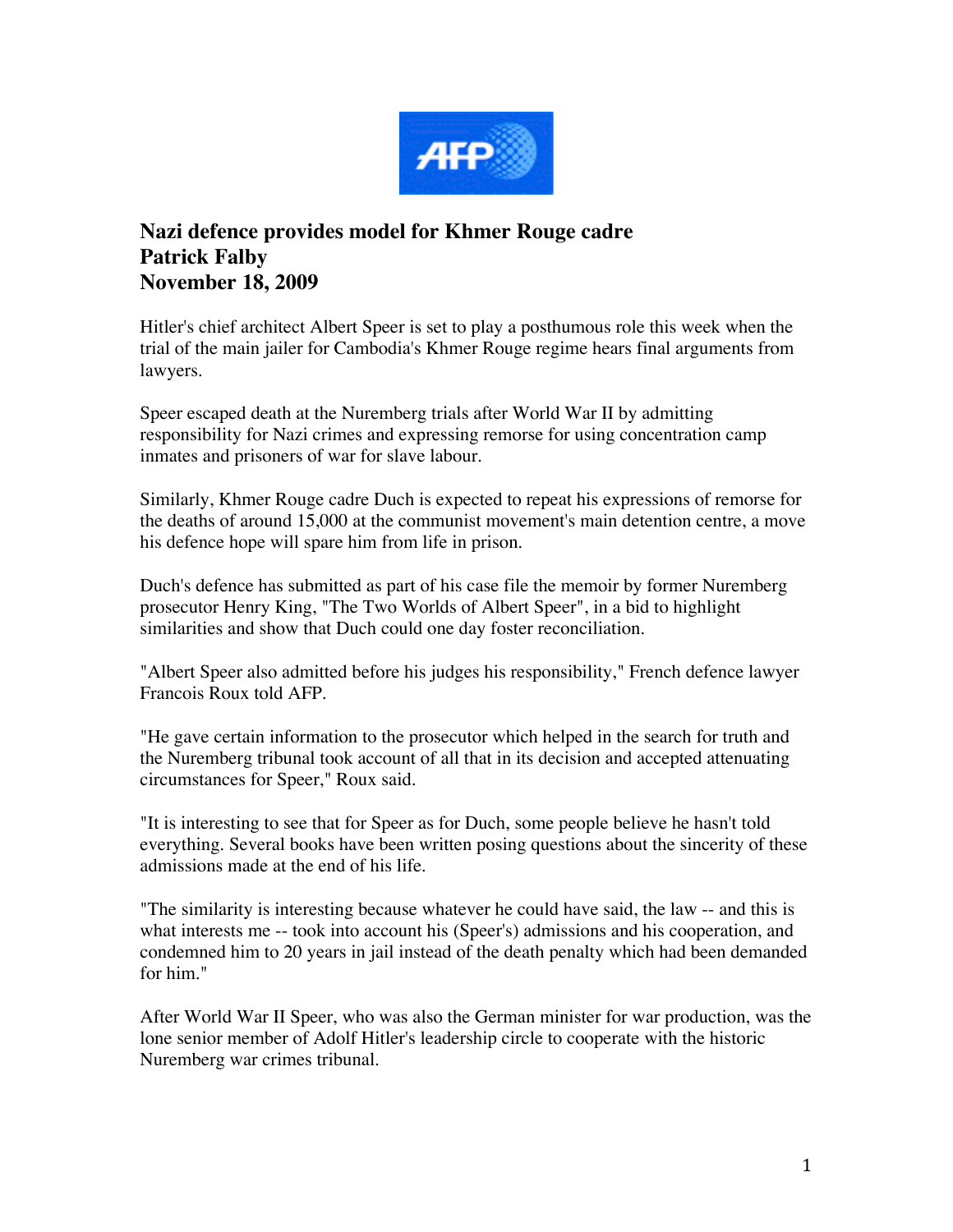

## **Nazi defence provides model for Khmer Rouge cadre Patrick Falby November 18, 2009**

Hitler's chief architect Albert Speer is set to play a posthumous role this week when the trial of the main jailer for Cambodia's Khmer Rouge regime hears final arguments from lawyers.

Speer escaped death at the Nuremberg trials after World War II by admitting responsibility for Nazi crimes and expressing remorse for using concentration camp inmates and prisoners of war for slave labour.

Similarly, Khmer Rouge cadre Duch is expected to repeat his expressions of remorse for the deaths of around 15,000 at the communist movement's main detention centre, a move his defence hope will spare him from life in prison.

Duch's defence has submitted as part of his case file the memoir by former Nuremberg prosecutor Henry King, "The Two Worlds of Albert Speer", in a bid to highlight similarities and show that Duch could one day foster reconciliation.

"Albert Speer also admitted before his judges his responsibility," French defence lawyer Francois Roux told AFP.

"He gave certain information to the prosecutor which helped in the search for truth and the Nuremberg tribunal took account of all that in its decision and accepted attenuating circumstances for Speer," Roux said.

"It is interesting to see that for Speer as for Duch, some people believe he hasn't told everything. Several books have been written posing questions about the sincerity of these admissions made at the end of his life.

"The similarity is interesting because whatever he could have said, the law -- and this is what interests me -- took into account his (Speer's) admissions and his cooperation, and condemned him to 20 years in jail instead of the death penalty which had been demanded for him."

After World War II Speer, who was also the German minister for war production, was the lone senior member of Adolf Hitler's leadership circle to cooperate with the historic Nuremberg war crimes tribunal.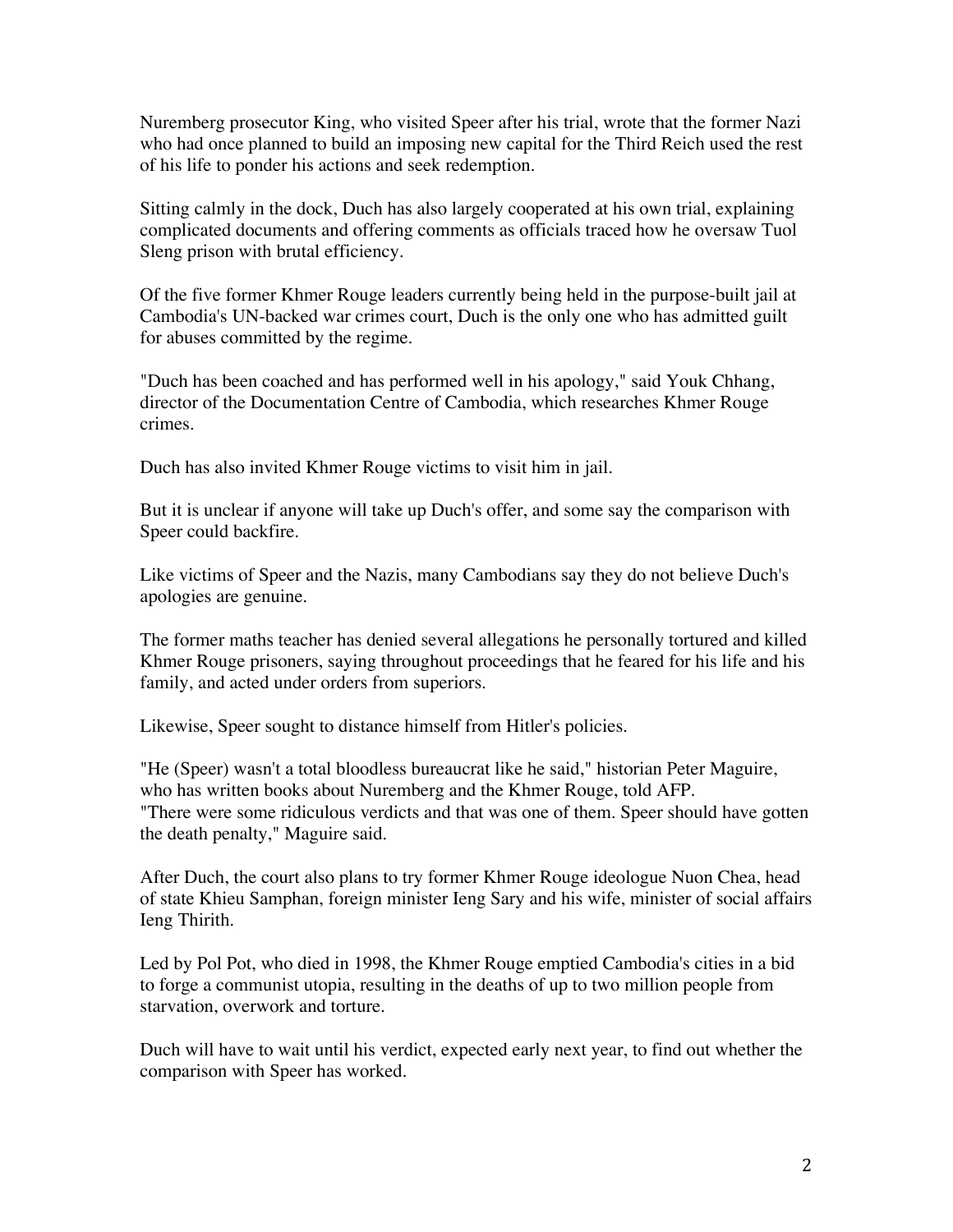Nuremberg prosecutor King, who visited Speer after his trial, wrote that the former Nazi who had once planned to build an imposing new capital for the Third Reich used the rest of his life to ponder his actions and seek redemption.

Sitting calmly in the dock, Duch has also largely cooperated at his own trial, explaining complicated documents and offering comments as officials traced how he oversaw Tuol Sleng prison with brutal efficiency.

Of the five former Khmer Rouge leaders currently being held in the purpose-built jail at Cambodia's UN-backed war crimes court, Duch is the only one who has admitted guilt for abuses committed by the regime.

"Duch has been coached and has performed well in his apology," said Youk Chhang, director of the Documentation Centre of Cambodia, which researches Khmer Rouge crimes.

Duch has also invited Khmer Rouge victims to visit him in jail.

But it is unclear if anyone will take up Duch's offer, and some say the comparison with Speer could backfire.

Like victims of Speer and the Nazis, many Cambodians say they do not believe Duch's apologies are genuine.

The former maths teacher has denied several allegations he personally tortured and killed Khmer Rouge prisoners, saying throughout proceedings that he feared for his life and his family, and acted under orders from superiors.

Likewise, Speer sought to distance himself from Hitler's policies.

"He (Speer) wasn't a total bloodless bureaucrat like he said," historian Peter Maguire, who has written books about Nuremberg and the Khmer Rouge, told AFP. "There were some ridiculous verdicts and that was one of them. Speer should have gotten the death penalty," Maguire said.

After Duch, the court also plans to try former Khmer Rouge ideologue Nuon Chea, head of state Khieu Samphan, foreign minister Ieng Sary and his wife, minister of social affairs Ieng Thirith.

Led by Pol Pot, who died in 1998, the Khmer Rouge emptied Cambodia's cities in a bid to forge a communist utopia, resulting in the deaths of up to two million people from starvation, overwork and torture.

Duch will have to wait until his verdict, expected early next year, to find out whether the comparison with Speer has worked.